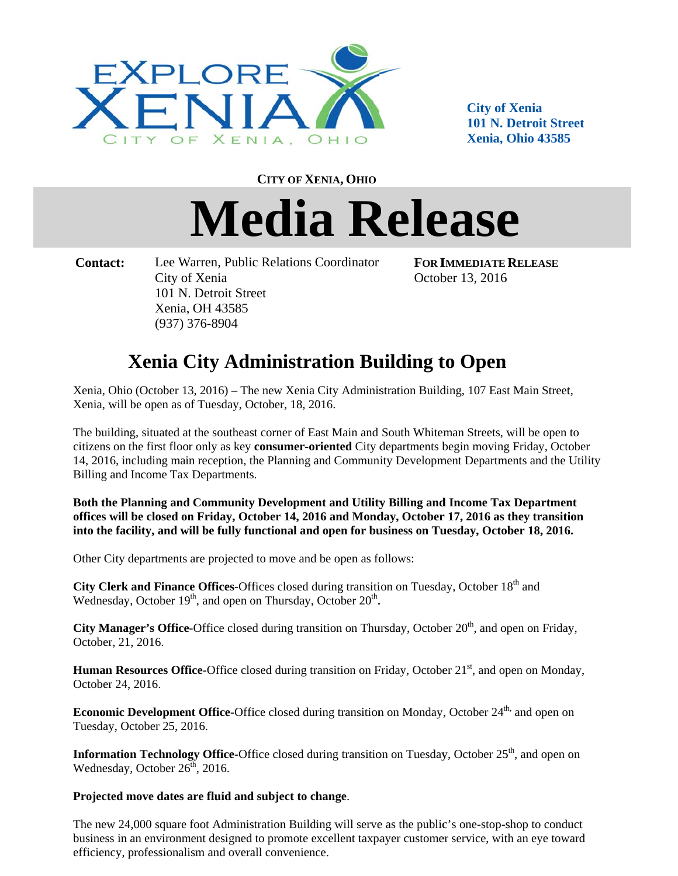

**City of f Xenia**  101 N. Detroit Street **Xenia, Ohio 43585 5**

**CITY OF XE ENIA, OHIO**

## Media Release

 **Contact:** Lee Warren, Public Relations Coordinator City of f Xenia 101 N. Detroit Street Xenia, OH 43585 (937) 3 376-8904

**FOR I IMMEDIATE RELEASE** October 13, 2016

## **Xenia C City Adm ministra ation Bu uilding t to Open**

Xenia, Ohio (October 13, 2016) - The new Xenia City Administration Building, 107 East Main Street, Xenia, will be open as of Tuesday, October, 18, 2016.

The building, situated at the southeast corner of East Main and South Whiteman Streets, will be open to citizens on the first floor only as key **consumer-oriented** City departments begin moving Friday, October 14, 2016, including main reception, the Planning and Community Development Departments and the Utility Billing and Income Tax Departments.

Both the Planning and Community Development and Utility Billing and Income Tax Department offices will be closed on Friday, October 14, 2016 and Monday, October 17, 2016 as they transition into the facility, and will be fully functional and open for business on Tuesday, October 18, 2016.

Other City departments are projected to move and be open as follows:

City Clerk and Finance Offices-Offices closed during transition on Tuesday, October 18<sup>th</sup> and Wednesday, October 19<sup>th</sup>, and open on Thursday, October 20<sup>th</sup>.

City Manager's Office-Office closed during transition on Thursday, October 20<sup>th</sup>, and open on Friday, October, 21, 2016.

Human Resources Office-Office closed during transition on Friday, October 21<sup>st</sup>, and open on Monday, October 24 4, 2016.

**Economic Development Office**-Office closed during transition on Monday, October 24<sup>th,</sup> and open on Tuesday, October 25, 2016. **Economic Development Office**-Office closed during transition on Monday, October 24<sup>th,</sup> and open on<br>Tuesday, October 25, 2016.<br>**Information Technology Office**-Office closed during transition on Tuesday, October 25<sup>th</sup>, an

Wednesday, October  $26^{\text{th}}$ , 2016.

Projected move dates are fluid and subject to change.

The new 24,000 square foot Administration Building will serve as the public's one-stop-shop to conduct business in an environment designed to promote excellent taxpayer customer service, with an eye toward efficiency, professionalism and overall convenience.